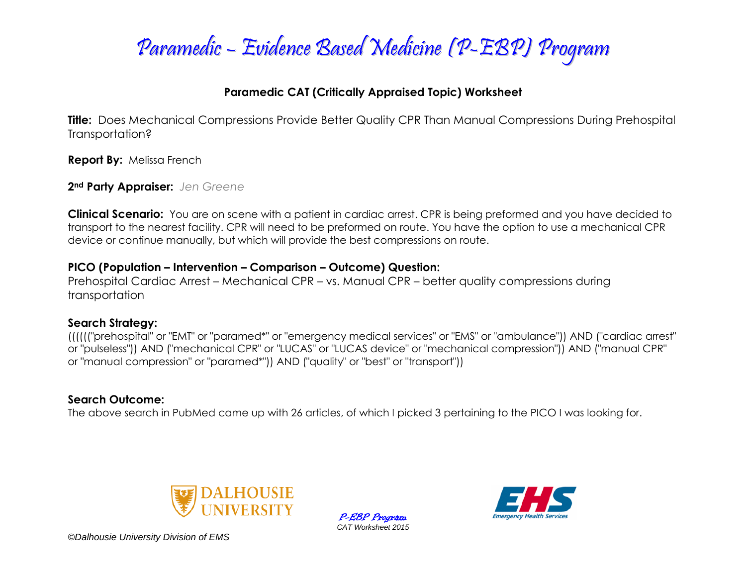

### **Paramedic CAT (Critically Appraised Topic) Worksheet**

**Title:** Does Mechanical Compressions Provide Better Quality CPR Than Manual Compressions During Prehospital Transportation?

**Report By:** Melissa French

**2nd Party Appraiser:** *Jen Greene*

**Clinical Scenario:** You are on scene with a patient in cardiac arrest. CPR is being preformed and you have decided to transport to the nearest facility. CPR will need to be preformed on route. You have the option to use a mechanical CPR device or continue manually, but which will provide the best compressions on route.

#### **PICO (Population – Intervention – Comparison – Outcome) Question:**

Prehospital Cardiac Arrest – Mechanical CPR – vs. Manual CPR – better quality compressions during transportation

#### **Search Strategy:**

(((((("prehospital" or "EMT" or "paramed\*" or "emergency medical services" or "EMS" or "ambulance")) AND ("cardiac arrest" or "pulseless")) AND ("mechanical CPR" or "LUCAS" or "LUCAS device" or "mechanical compression")) AND ("manual CPR" or "manual compression" or "paramed\*")) AND ("quality" or "best" or "transport"))

### **Search Outcome:**

The above search in PubMed came up with 26 articles, of which I picked 3 pertaining to the PICO I was looking for.



P-EBP Program *CAT Worksheet 2015*

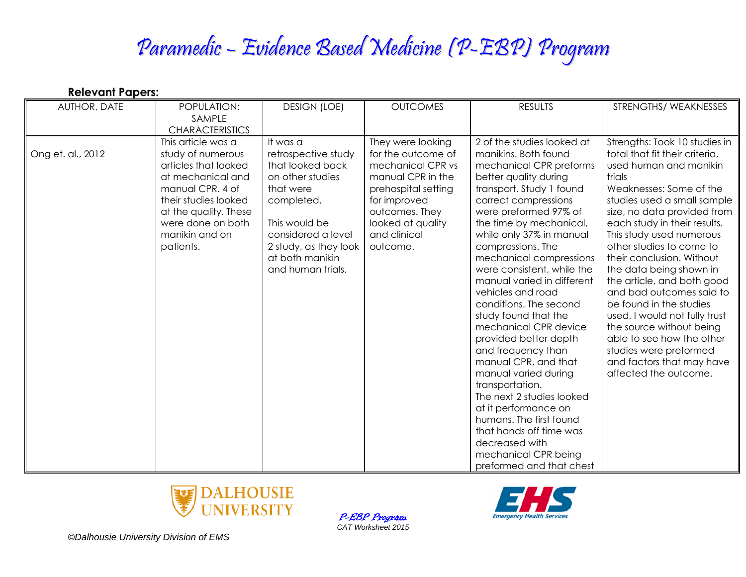| <b>Relevant Papers:</b> |                                                                                                                                                                                                               |                                                                                                                                                                                                            |                                                                                                                                                                                             |                                                                                                                                                                                                                                                                                                                                                                                                                                                                                                                                                                                                                                                                                                                                                           |                                                                                                                                                                                                                                                                                                                                                                                                                                                                                                                                                                                                             |
|-------------------------|---------------------------------------------------------------------------------------------------------------------------------------------------------------------------------------------------------------|------------------------------------------------------------------------------------------------------------------------------------------------------------------------------------------------------------|---------------------------------------------------------------------------------------------------------------------------------------------------------------------------------------------|-----------------------------------------------------------------------------------------------------------------------------------------------------------------------------------------------------------------------------------------------------------------------------------------------------------------------------------------------------------------------------------------------------------------------------------------------------------------------------------------------------------------------------------------------------------------------------------------------------------------------------------------------------------------------------------------------------------------------------------------------------------|-------------------------------------------------------------------------------------------------------------------------------------------------------------------------------------------------------------------------------------------------------------------------------------------------------------------------------------------------------------------------------------------------------------------------------------------------------------------------------------------------------------------------------------------------------------------------------------------------------------|
| AUTHOR, DATE            | POPULATION:<br>SAMPLE<br><b>CHARACTERISTICS</b>                                                                                                                                                               | <b>DESIGN (LOE)</b>                                                                                                                                                                                        | <b>OUTCOMES</b>                                                                                                                                                                             | <b>RESULTS</b>                                                                                                                                                                                                                                                                                                                                                                                                                                                                                                                                                                                                                                                                                                                                            | STRENGTHS/WEAKNESSES                                                                                                                                                                                                                                                                                                                                                                                                                                                                                                                                                                                        |
| Ong et. al., 2012       | This article was a<br>study of numerous<br>articles that looked<br>at mechanical and<br>manual CPR. 4 of<br>their studies looked<br>at the quality. These<br>were done on both<br>manikin and on<br>patients. | It was a<br>retrospective study<br>that looked back<br>on other studies<br>that were<br>completed.<br>This would be<br>considered a level<br>2 study, as they look<br>at both manikin<br>and human trials. | They were looking<br>for the outcome of<br>mechanical CPR vs<br>manual CPR in the<br>prehospital setting<br>for improved<br>outcomes. They<br>looked at quality<br>and clinical<br>outcome. | 2 of the studies looked at<br>manikins. Both found<br>mechanical CPR preforms<br>better quality during<br>transport. Study 1 found<br>correct compressions<br>were preformed 97% of<br>the time by mechanical,<br>while only 37% in manual<br>compressions. The<br>mechanical compressions<br>were consistent, while the<br>manual varied in different<br>vehicles and road<br>conditions. The second<br>study found that the<br>mechanical CPR device<br>provided better depth<br>and frequency than<br>manual CPR, and that<br>manual varied during<br>transportation.<br>The next 2 studies looked<br>at it performance on<br>humans. The first found<br>that hands off time was<br>decreased with<br>mechanical CPR being<br>preformed and that chest | Strengths: Took 10 studies in<br>total that fit their criteria,<br>used human and manikin<br>trials<br>Weaknesses: Some of the<br>studies used a small sample<br>size, no data provided from<br>each study in their results.<br>This study used numerous<br>other studies to come to<br>their conclusion. Without<br>the data being shown in<br>the article, and both good<br>and bad outcomes said to<br>be found in the studies<br>used, I would not fully trust<br>the source without being<br>able to see how the other<br>studies were preformed<br>and factors that may have<br>affected the outcome. |



P-EBP Program *CAT Worksheet 2015*

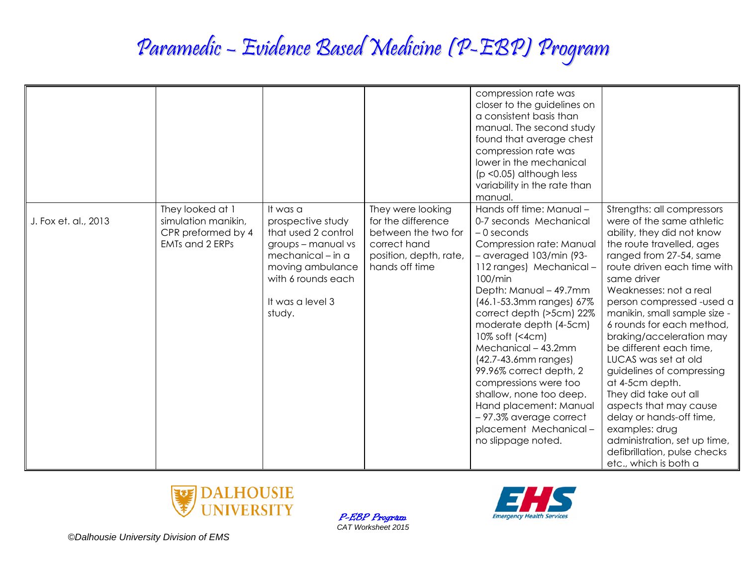|                      |                                                                                         |                                                                                                                                                                         |                                                                                                                            | compression rate was<br>closer to the guidelines on<br>a consistent basis than<br>manual. The second study<br>found that average chest<br>compression rate was<br>lower in the mechanical<br>$(p < 0.05)$ although less<br>variability in the rate than<br>manual.                                                                                                                                                                                                                                                                |                                                                                                                                                                                                                                                                                                                                                                                                                                                                                                                                                                                                                                          |
|----------------------|-----------------------------------------------------------------------------------------|-------------------------------------------------------------------------------------------------------------------------------------------------------------------------|----------------------------------------------------------------------------------------------------------------------------|-----------------------------------------------------------------------------------------------------------------------------------------------------------------------------------------------------------------------------------------------------------------------------------------------------------------------------------------------------------------------------------------------------------------------------------------------------------------------------------------------------------------------------------|------------------------------------------------------------------------------------------------------------------------------------------------------------------------------------------------------------------------------------------------------------------------------------------------------------------------------------------------------------------------------------------------------------------------------------------------------------------------------------------------------------------------------------------------------------------------------------------------------------------------------------------|
| J. Fox et. al., 2013 | They looked at 1<br>simulation manikin,<br>CPR preformed by 4<br><b>EMTs and 2 ERPs</b> | It was a<br>prospective study<br>that used 2 control<br>groups - manual vs<br>mechanical - in a<br>moving ambulance<br>with 6 rounds each<br>It was a level 3<br>study. | They were looking<br>for the difference<br>between the two for<br>correct hand<br>position, depth, rate,<br>hands off time | Hands off time: Manual -<br>0-7 seconds Mechanical<br>$-0$ seconds<br>Compression rate: Manual<br>$-$ averaged 103/min (93-<br>112 ranges) Mechanical-<br>100/min<br>Depth: Manual - 49.7mm<br>(46.1-53.3mm ranges) 67%<br>correct depth (>5cm) 22%<br>moderate depth (4-5cm)<br>10% soft (<4cm)<br>Mechanical - 43.2mm<br>(42.7-43.6mm ranges)<br>99.96% correct depth, 2<br>compressions were too<br>shallow, none too deep.<br>Hand placement: Manual<br>-97.3% average correct<br>placement Mechanical-<br>no slippage noted. | Strengths: all compressors<br>were of the same athletic<br>ability, they did not know<br>the route travelled, ages<br>ranged from 27-54, same<br>route driven each time with<br>same driver<br>Weaknesses: not a real<br>person compressed -used a<br>manikin, small sample size -<br>6 rounds for each method,<br>braking/acceleration may<br>be different each time,<br>LUCAS was set at old<br>guidelines of compressing<br>at 4-5cm depth.<br>They did take out all<br>aspects that may cause<br>delay or hands-off time,<br>examples: drug<br>administration, set up time,<br>defibrillation, pulse checks<br>etc., which is both a |



P-EBP Program *CAT Worksheet 2015*

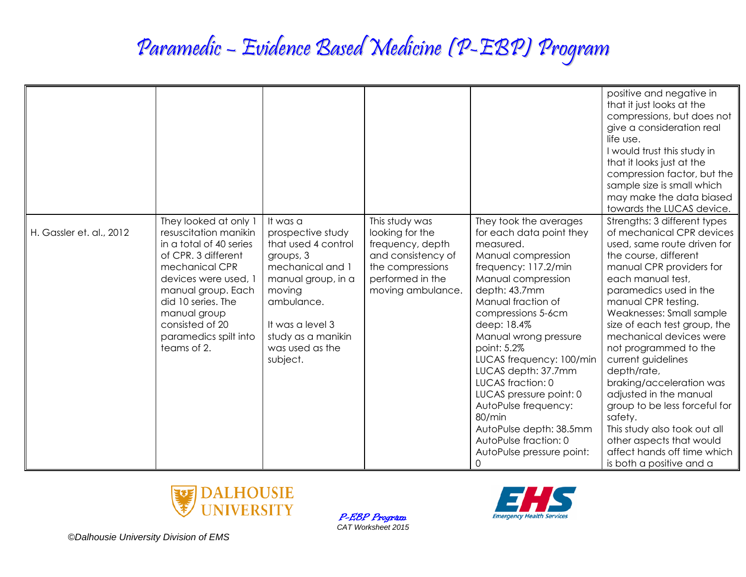|                          |                                                                                                                                                                                                                                                                   |                                                                                                                                                                                                              |                                                                                                                                          |                                                                                                                                                                                                                                                                                                                                                                                                                                                                                    | positive and negative in<br>that it just looks at the<br>compressions, but does not<br>give a consideration real<br>life use.<br>I would trust this study in<br>that it looks just at the<br>compression factor, but the<br>sample size is small which<br>may make the data biased<br>towards the LUCAS device.                                                                                                                                                                                                                                                                                   |
|--------------------------|-------------------------------------------------------------------------------------------------------------------------------------------------------------------------------------------------------------------------------------------------------------------|--------------------------------------------------------------------------------------------------------------------------------------------------------------------------------------------------------------|------------------------------------------------------------------------------------------------------------------------------------------|------------------------------------------------------------------------------------------------------------------------------------------------------------------------------------------------------------------------------------------------------------------------------------------------------------------------------------------------------------------------------------------------------------------------------------------------------------------------------------|---------------------------------------------------------------------------------------------------------------------------------------------------------------------------------------------------------------------------------------------------------------------------------------------------------------------------------------------------------------------------------------------------------------------------------------------------------------------------------------------------------------------------------------------------------------------------------------------------|
| H. Gassler et. al., 2012 | They looked at only 1<br>resuscitation manikin<br>in a total of 40 series<br>of CPR. 3 different<br>mechanical CPR<br>devices were used, 1<br>manual group. Each<br>did 10 series. The<br>manual group<br>consisted of 20<br>paramedics spilt into<br>teams of 2. | It was a<br>prospective study<br>that used 4 control<br>groups, 3<br>mechanical and 1<br>manual group, in a<br>moving<br>ambulance.<br>It was a level 3<br>study as a manikin<br>was used as the<br>subject. | This study was<br>looking for the<br>frequency, depth<br>and consistency of<br>the compressions<br>performed in the<br>moving ambulance. | They took the averages<br>for each data point they<br>measured.<br>Manual compression<br>frequency: 117.2/min<br>Manual compression<br>depth: 43.7mm<br>Manual fraction of<br>compressions 5-6cm<br>deep: 18.4%<br>Manual wrong pressure<br>point: 5.2%<br>LUCAS frequency: 100/min<br>LUCAS depth: 37.7mm<br>LUCAS fraction: 0<br>LUCAS pressure point: 0<br>AutoPulse frequency:<br>80/min<br>AutoPulse depth: 38.5mm<br>AutoPulse fraction: 0<br>AutoPulse pressure point:<br>0 | Strengths: 3 different types<br>of mechanical CPR devices<br>used, same route driven for<br>the course, different<br>manual CPR providers for<br>each manual test,<br>paramedics used in the<br>manual CPR testing.<br>Weaknesses: Small sample<br>size of each test group, the<br>mechanical devices were<br>not programmed to the<br>current guidelines<br>depth/rate,<br>braking/acceleration was<br>adjusted in the manual<br>group to be less forceful for<br>safety.<br>This study also took out all<br>other aspects that would<br>affect hands off time which<br>is both a positive and a |



P-EBP Program *CAT Worksheet 2015*

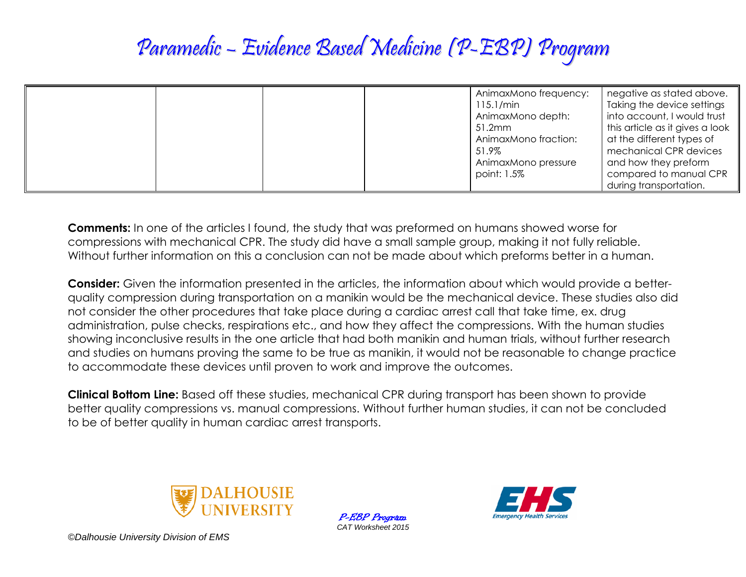| AnimaxMono frequency:<br>$115.1/m$ in<br>AnimaxMono depth:<br>51.2mm<br>AnimaxMono fraction:<br>51.9%<br>AnimaxMono pressure | negative as stated above.<br>Taking the device settings<br>into account, I would trust<br>this article as it gives a look<br>at the different types of<br>mechanical CPR devices<br>and how they preform |
|------------------------------------------------------------------------------------------------------------------------------|----------------------------------------------------------------------------------------------------------------------------------------------------------------------------------------------------------|
| point: 1.5%                                                                                                                  | compared to manual CPR<br>during transportation.                                                                                                                                                         |

**Comments:** In one of the articles I found, the study that was preformed on humans showed worse for compressions with mechanical CPR. The study did have a small sample group, making it not fully reliable. Without further information on this a conclusion can not be made about which preforms better in a human.

**Consider:** Given the information presented in the articles, the information about which would provide a betterquality compression during transportation on a manikin would be the mechanical device. These studies also did not consider the other procedures that take place during a cardiac arrest call that take time, ex. drug administration, pulse checks, respirations etc., and how they affect the compressions. With the human studies showing inconclusive results in the one article that had both manikin and human trials, without further research and studies on humans proving the same to be true as manikin, it would not be reasonable to change practice to accommodate these devices until proven to work and improve the outcomes.

**Clinical Bottom Line:** Based off these studies, mechanical CPR during transport has been shown to provide better quality compressions vs. manual compressions. Without further human studies, it can not be concluded to be of better quality in human cardiac arrest transports.



P-EBP Program *CAT Worksheet 2015*